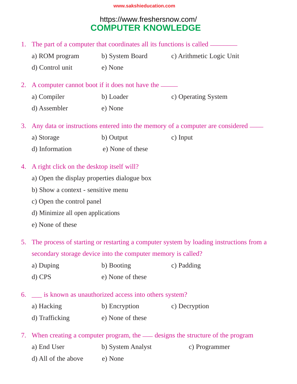# **COMPUTER KNOWLEDGE** https://www.freshersnow.com/

|                                                                                       | 1. The part of a computer that coordinates all its functions is called ________        |                                                           |                                                                                 |  |  |  |
|---------------------------------------------------------------------------------------|----------------------------------------------------------------------------------------|-----------------------------------------------------------|---------------------------------------------------------------------------------|--|--|--|
|                                                                                       |                                                                                        |                                                           | a) ROM program b) System Board c) Arithmetic Logic Unit                         |  |  |  |
|                                                                                       | d) Control unit                                                                        | e) None                                                   |                                                                                 |  |  |  |
| 2.                                                                                    | A computer cannot boot if it does not have the _______                                 |                                                           |                                                                                 |  |  |  |
|                                                                                       | a) Compiler                                                                            | b) Loader                                                 | c) Operating System                                                             |  |  |  |
|                                                                                       | d) Assembler<br>e) None                                                                |                                                           |                                                                                 |  |  |  |
| Any data or instructions entered into the memory of a computer are considered —<br>3. |                                                                                        |                                                           |                                                                                 |  |  |  |
|                                                                                       | a) Storage                                                                             | b) Output                                                 | c) Input                                                                        |  |  |  |
|                                                                                       | d) Information (e) None of these                                                       |                                                           |                                                                                 |  |  |  |
| A right click on the desktop itself will?<br>4.                                       |                                                                                        |                                                           |                                                                                 |  |  |  |
|                                                                                       |                                                                                        |                                                           |                                                                                 |  |  |  |
| b) Show a context - sensitive menu<br>c) Open the control panel                       |                                                                                        |                                                           |                                                                                 |  |  |  |
|                                                                                       |                                                                                        |                                                           |                                                                                 |  |  |  |
|                                                                                       | e) None of these                                                                       |                                                           |                                                                                 |  |  |  |
| 5.                                                                                    | The process of starting or restarting a computer system by loading instructions from a |                                                           |                                                                                 |  |  |  |
| secondary storage device into the computer memory is called?                          |                                                                                        |                                                           |                                                                                 |  |  |  |
|                                                                                       | a) Duping                                                                              | b) Booting                                                | c) Padding                                                                      |  |  |  |
|                                                                                       | d) CPS                                                                                 | e) None of these                                          |                                                                                 |  |  |  |
|                                                                                       |                                                                                        | 6. __ is known as unauthorized access into others system? |                                                                                 |  |  |  |
|                                                                                       | a) Hacking                                                                             | b) Encryption                                             | c) Decryption                                                                   |  |  |  |
|                                                                                       | d) Trafficking                                                                         | e) None of these                                          |                                                                                 |  |  |  |
|                                                                                       |                                                                                        |                                                           | 7. When creating a computer program, the — designs the structure of the program |  |  |  |

- a) End User b) System Analyst c) Programmer
	-

d) All of the above e) None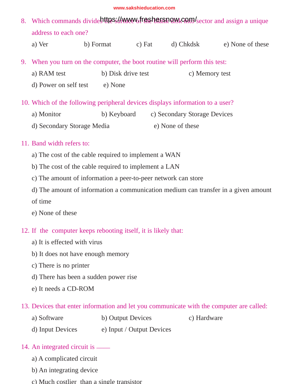- 8. Which commands divident these *live we been being to which commands* divident the surface of the sector and assign a unique address to each one?
	- a) Ver b) Format c) Fat d) Chkdsk e) None of these
- 9. When you turn on the computer, the boot routine will perform this test:
	- a) RAM test b) Disk drive test c) Memory test d) Power on self test e) None
- 10. Which of the following peripheral devices displays information to a user?
	- a) Monitor b) Keyboard c) Secondary Storage Devices d) Secondary Storage Media e) None of these

### 11. Band width refers to:

- a) The cost of the cable required to implement a WAN
- b) The cost of the cable required to implement a LAN
- c) The amount of information a peer-to-peer network can store
- d) The amount of information a communication medium can transfer in a given amount
- of time

e) None of these

### 12. If the computer keeps rebooting itself, it is likely that:

- a) It is effected with virus
- b) It does not have enough memory
- c) There is no printer
- d) There has been a sudden power rise
- e) It needs a CD-ROM

### 13. Devices that enter information and let you communicate with the computer are called:

- a) Software b) Output Devices c) Hardware
- d) Input Devices e) Input / Output Devices

#### 14. An integrated circuit is  $\equiv$

- a) A complicated circuit
- b) An integrating device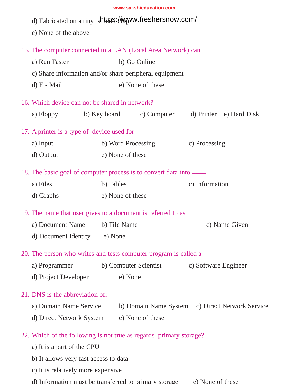|                                                              | d) Fabricated on a tiny shitter : https://www.freshersnow.com/<br>e) None of the above |                    |                       |                                                 |  |  |  |  |
|--------------------------------------------------------------|----------------------------------------------------------------------------------------|--------------------|-----------------------|-------------------------------------------------|--|--|--|--|
| 15. The computer connected to a LAN (Local Area Network) can |                                                                                        |                    |                       |                                                 |  |  |  |  |
|                                                              | a) Run Faster                                                                          |                    | b) Go Online          |                                                 |  |  |  |  |
|                                                              | c) Share information and/or share peripheral equipment                                 |                    |                       |                                                 |  |  |  |  |
|                                                              | $d) E - Mail$                                                                          |                    | e) None of these      |                                                 |  |  |  |  |
|                                                              | 16. Which device can not be shared in network?                                         |                    |                       |                                                 |  |  |  |  |
|                                                              | a) Floppy                                                                              | b) Key board       | c) Computer           | d) Printer e) Hard Disk                         |  |  |  |  |
|                                                              | 17. A printer is a type of device used for —                                           |                    |                       |                                                 |  |  |  |  |
|                                                              | a) Input                                                                               | b) Word Processing |                       | c) Processing                                   |  |  |  |  |
|                                                              | d) Output                                                                              | e) None of these   |                       |                                                 |  |  |  |  |
|                                                              | 18. The basic goal of computer process is to convert data into —                       |                    |                       |                                                 |  |  |  |  |
|                                                              | a) Files                                                                               | b) Tables          |                       | c) Information                                  |  |  |  |  |
|                                                              | d) Graphs                                                                              | e) None of these   |                       |                                                 |  |  |  |  |
|                                                              | 19. The name that user gives to a document is referred to as _______                   |                    |                       |                                                 |  |  |  |  |
|                                                              | a) Document Name                                                                       | b) File Name       |                       | c) Name Given                                   |  |  |  |  |
|                                                              | d) Document Identity e) None                                                           |                    |                       |                                                 |  |  |  |  |
|                                                              | 20. The person who writes and tests computer program is called a <u>__</u>             |                    |                       |                                                 |  |  |  |  |
|                                                              | a) Programmer                                                                          |                    | b) Computer Scientist | c) Software Engineer                            |  |  |  |  |
|                                                              | d) Project Developer                                                                   | e) None            |                       |                                                 |  |  |  |  |
|                                                              | 21. DNS is the abbreviation of:                                                        |                    |                       |                                                 |  |  |  |  |
|                                                              | a) Domain Name Service                                                                 |                    |                       | b) Domain Name System c) Direct Network Service |  |  |  |  |
|                                                              | d) Direct Network System                                                               |                    | e) None of these      |                                                 |  |  |  |  |
|                                                              | 22. Which of the following is not true as regards primary storage?                     |                    |                       |                                                 |  |  |  |  |
|                                                              | a) It is a part of the CPU                                                             |                    |                       |                                                 |  |  |  |  |
|                                                              | b) It allows very fast access to data                                                  |                    |                       |                                                 |  |  |  |  |

c) It is relatively more expensive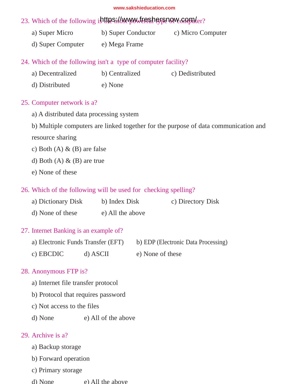## 23. Which of the following is the sill www.freshersom computer?

- a) Super Micro b) Super Conductor c) Micro Computer
- d) Super Computer e) Mega Frame

## 24. Which of the following isn't a type of computer facility?

| a) Decentralized | b) Centralized | c) Dedistributed |
|------------------|----------------|------------------|
| d) Distributed   | e) None        |                  |

## 25. Computer network is a?

- a) A distributed data processing system
- b) Multiple computers are linked together for the purpose of data communication and

resource sharing

- c) Both  $(A)$  &  $(B)$  are false
- d) Both  $(A) \& (B)$  are true
- e) None of these

## 26. Which of the following will be used for checking spelling?

| a) Dictionary Disk | b) Index Disk | c) Directory Disk |
|--------------------|---------------|-------------------|
|                    |               |                   |

d) None of these e) All the above

## 27. Internet Banking is an example of?

| a) Electronic Funds Transfer (EFT) |          | b) EDP (Electronic Data Processing) |
|------------------------------------|----------|-------------------------------------|
| c) EBCDIC                          | d) ASCII | e) None of these                    |

## 28. Anonymous FTP is?

- a) Internet file transfer protocol
- b) Protocol that requires password
- c) Not access to the files
- d) None e) All of the above

### 29. Archive is a?

- a) Backup storage
- b) Forward operation
- c) Drimary storage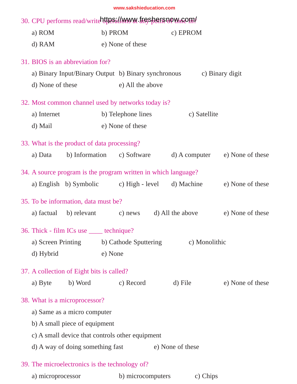| 30. CPU performs read/write the Sill MWW LIFES bein pownsom! |                                                                |                    |                  |                                |  |  |  |
|--------------------------------------------------------------|----------------------------------------------------------------|--------------------|------------------|--------------------------------|--|--|--|
| a) ROM                                                       |                                                                | b) PROM            | c) EPROM         |                                |  |  |  |
| d) RAM                                                       |                                                                | e) None of these   |                  |                                |  |  |  |
|                                                              | 31. BIOS is an abbreviation for?                               |                    |                  |                                |  |  |  |
|                                                              | a) Binary Input/Binary Output b) Binary synchronous            |                    |                  | c) Binary digit                |  |  |  |
| d) None of these                                             |                                                                | e) All the above   |                  |                                |  |  |  |
|                                                              |                                                                |                    |                  |                                |  |  |  |
|                                                              | 32. Most common channel used by networks today is?             |                    |                  |                                |  |  |  |
| a) Internet                                                  |                                                                | b) Telephone lines | c) Satellite     |                                |  |  |  |
| d) Mail                                                      |                                                                | e) None of these   |                  |                                |  |  |  |
|                                                              | 33. What is the product of data processing?                    |                    |                  |                                |  |  |  |
| a) Data                                                      | b) Information c) Software                                     |                    |                  | d) A computer e) None of these |  |  |  |
|                                                              | 34. A source program is the program written in which language? |                    |                  |                                |  |  |  |
|                                                              | a) English b) Symbolic c) High - level d) Machine              |                    |                  | e) None of these               |  |  |  |
|                                                              |                                                                |                    |                  |                                |  |  |  |
| 35. To be information, data must be?                         |                                                                |                    |                  |                                |  |  |  |
| a) factual                                                   | b) relevant c) news                                            |                    | d) All the above | e) None of these               |  |  |  |
|                                                              | 36. Thick - film ICs use _____ technique?                      |                    |                  |                                |  |  |  |
|                                                              | a) Screen Printing b) Cathode Sputtering                       |                    | c) Monolithic    |                                |  |  |  |
| d) Hybrid                                                    | e) None                                                        |                    |                  |                                |  |  |  |
|                                                              |                                                                |                    |                  |                                |  |  |  |
|                                                              | 37. A collection of Eight bits is called?                      |                    |                  |                                |  |  |  |
| a) Byte                                                      | b) Word                                                        | c) Record          | d) File          | e) None of these               |  |  |  |
|                                                              | 38. What is a microprocessor?                                  |                    |                  |                                |  |  |  |
|                                                              | a) Same as a micro computer                                    |                    |                  |                                |  |  |  |
|                                                              | b) A small piece of equipment                                  |                    |                  |                                |  |  |  |
|                                                              | c) A small device that controls other equipment                |                    |                  |                                |  |  |  |
|                                                              | d) A way of doing something fast                               |                    | e) None of these |                                |  |  |  |
|                                                              |                                                                |                    |                  |                                |  |  |  |

39. The microelectronics is the technology of?